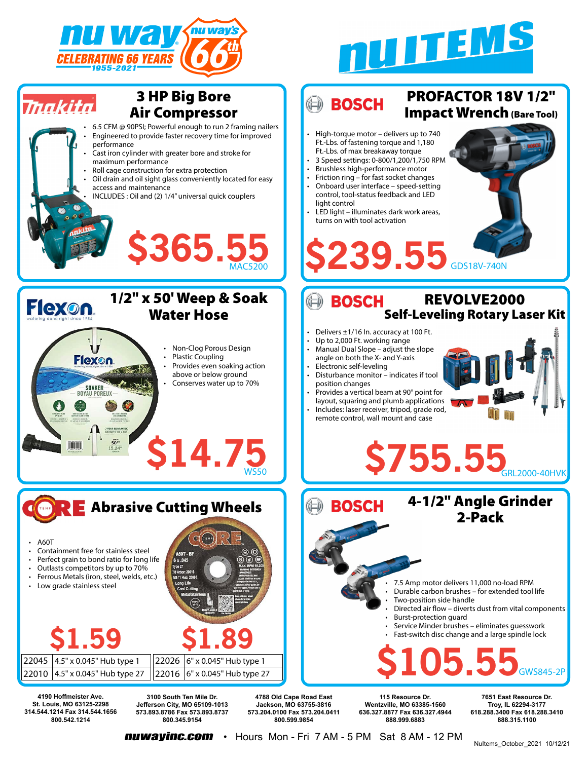

**314.544.1214 Fax 314.544.1656 800.542.1214**

**573.893.8786 Fax 573.893.8737 800.345.9154**





**nuwayinc.com** • Hours Mon - Fri 7 AM - 5 PM Sat 8 AM - 12 PM **800.599.9854**

**573.204.0100 Fax 573.204.0411**

**636.327.8877 Fax 636.327.4944 888.999.6883**

**618.288.3400 Fax 618.288.3410 888.315.1100**